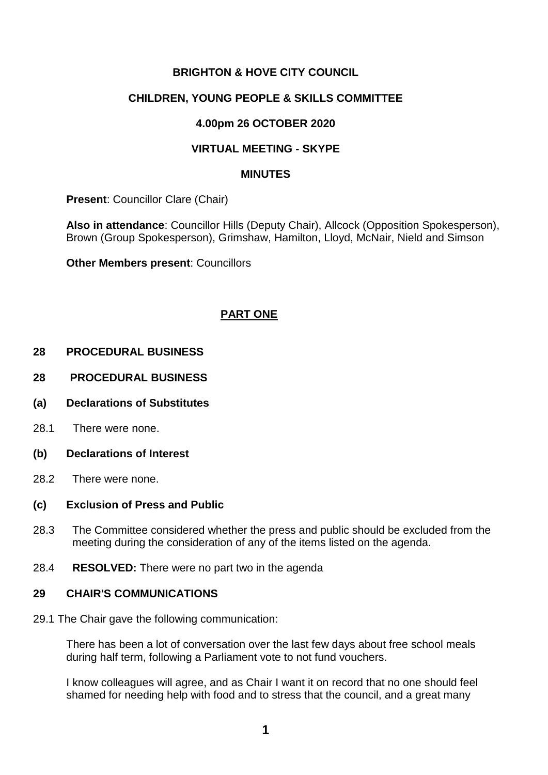# **BRIGHTON & HOVE CITY COUNCIL**

# **CHILDREN, YOUNG PEOPLE & SKILLS COMMITTEE**

## **4.00pm 26 OCTOBER 2020**

## **VIRTUAL MEETING - SKYPE**

#### **MINUTES**

**Present**: Councillor Clare (Chair)

**Also in attendance**: Councillor Hills (Deputy Chair), Allcock (Opposition Spokesperson), Brown (Group Spokesperson), Grimshaw, Hamilton, Lloyd, McNair, Nield and Simson

**Other Members present**: Councillors

# **PART ONE**

#### **28 PROCEDURAL BUSINESS**

- **28 PROCEDURAL BUSINESS**
- **(a) Declarations of Substitutes**
- 28.1 There were none.
- **(b) Declarations of Interest**
- 28.2 There were none.

#### **(c) Exclusion of Press and Public**

- 28.3 The Committee considered whether the press and public should be excluded from the meeting during the consideration of any of the items listed on the agenda.
- 28.4 **RESOLVED:** There were no part two in the agenda

#### **29 CHAIR'S COMMUNICATIONS**

29.1 The Chair gave the following communication:

There has been a lot of conversation over the last few days about free school meals during half term, following a Parliament vote to not fund vouchers.

I know colleagues will agree, and as Chair I want it on record that no one should feel shamed for needing help with food and to stress that the council, and a great many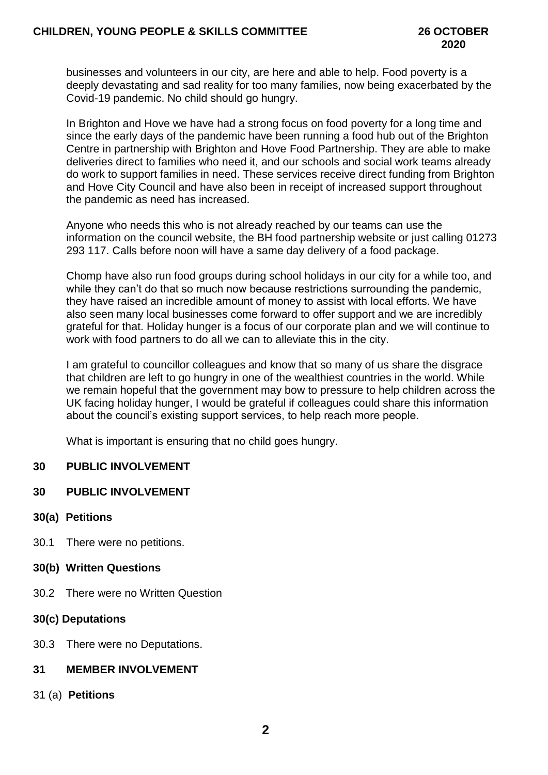businesses and volunteers in our city, are here and able to help. Food poverty is a deeply devastating and sad reality for too many families, now being exacerbated by the Covid-19 pandemic. No child should go hungry.

In Brighton and Hove we have had a strong focus on food poverty for a long time and since the early days of the pandemic have been running a food hub out of the Brighton Centre in partnership with Brighton and Hove Food Partnership. They are able to make deliveries direct to families who need it, and our schools and social work teams already do work to support families in need. These services receive direct funding from Brighton and Hove City Council and have also been in receipt of increased support throughout the pandemic as need has increased.

Anyone who needs this who is not already reached by our teams can use the information on the council website, the BH food partnership website or just calling 01273 293 117. Calls before noon will have a same day delivery of a food package.

Chomp have also run food groups during school holidays in our city for a while too, and while they can't do that so much now because restrictions surrounding the pandemic. they have raised an incredible amount of money to assist with local efforts. We have also seen many local businesses come forward to offer support and we are incredibly grateful for that. Holiday hunger is a focus of our corporate plan and we will continue to work with food partners to do all we can to alleviate this in the city.

I am grateful to councillor colleagues and know that so many of us share the disgrace that children are left to go hungry in one of the wealthiest countries in the world. While we remain hopeful that the government may bow to pressure to help children across the UK facing holiday hunger, I would be grateful if colleagues could share this information about the council's existing support services, to help reach more people.

What is important is ensuring that no child goes hungry.

### **30 PUBLIC INVOLVEMENT**

### **30 PUBLIC INVOLVEMENT**

### **30(a) Petitions**

30.1 There were no petitions.

### **30(b) Written Questions**

30.2 There were no Written Question

# **30(c) Deputations**

30.3 There were no Deputations.

### **31 MEMBER INVOLVEMENT**

31 (a) **Petitions**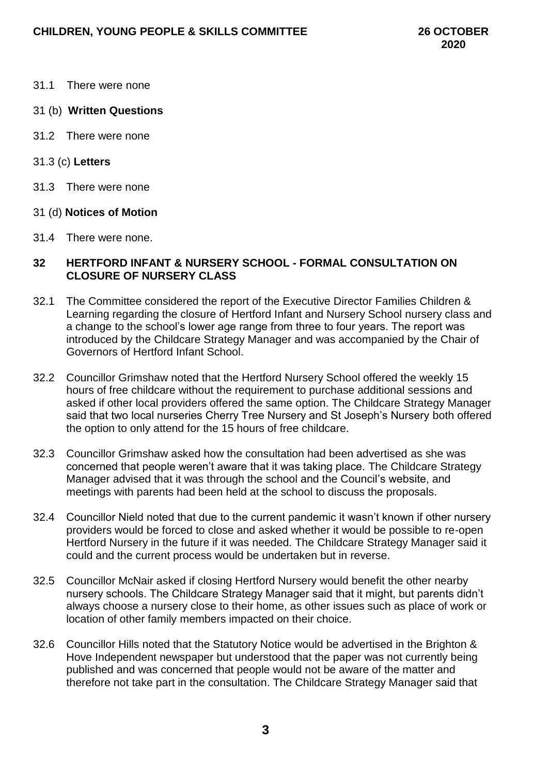- 31.1 There were none
- 31 (b) **Written Questions**
- 31.2 There were none
- 31.3 (c) **Letters**
- 31.3 There were none
- 31 (d) **Notices of Motion**
- 31.4 There were none.

#### **32 HERTFORD INFANT & NURSERY SCHOOL - FORMAL CONSULTATION ON CLOSURE OF NURSERY CLASS**

- 32.1 The Committee considered the report of the Executive Director Families Children & Learning regarding the closure of Hertford Infant and Nursery School nursery class and a change to the school's lower age range from three to four years. The report was introduced by the Childcare Strategy Manager and was accompanied by the Chair of Governors of Hertford Infant School.
- 32.2 Councillor Grimshaw noted that the Hertford Nursery School offered the weekly 15 hours of free childcare without the requirement to purchase additional sessions and asked if other local providers offered the same option. The Childcare Strategy Manager said that two local nurseries Cherry Tree Nursery and St Joseph's Nursery both offered the option to only attend for the 15 hours of free childcare.
- 32.3 Councillor Grimshaw asked how the consultation had been advertised as she was concerned that people weren't aware that it was taking place. The Childcare Strategy Manager advised that it was through the school and the Council's website, and meetings with parents had been held at the school to discuss the proposals.
- 32.4 Councillor Nield noted that due to the current pandemic it wasn't known if other nursery providers would be forced to close and asked whether it would be possible to re-open Hertford Nursery in the future if it was needed. The Childcare Strategy Manager said it could and the current process would be undertaken but in reverse.
- 32.5 Councillor McNair asked if closing Hertford Nursery would benefit the other nearby nursery schools. The Childcare Strategy Manager said that it might, but parents didn't always choose a nursery close to their home, as other issues such as place of work or location of other family members impacted on their choice.
- 32.6 Councillor Hills noted that the Statutory Notice would be advertised in the Brighton & Hove Independent newspaper but understood that the paper was not currently being published and was concerned that people would not be aware of the matter and therefore not take part in the consultation. The Childcare Strategy Manager said that